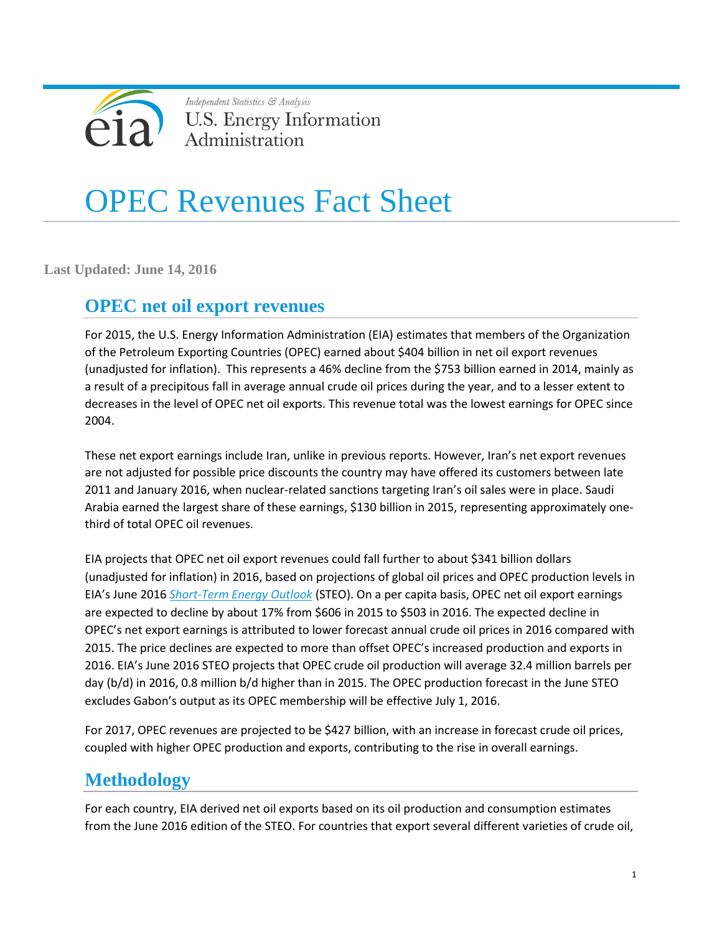

Independent Statistics & Analysis **U.S. Energy Information** Administration

# OPEC Revenues Fact Sheet

**Last Updated: June 14, 2016**

## **OPEC net oil export revenues**

For 2015, the U.S. Energy Information Administration (EIA) estimates that members of the Organization of the Petroleum Exporting Countries (OPEC) earned about \$404 billion in net oil export revenues (unadjusted for inflation). This represents a 46% decline from the \$753 billion earned in 2014, mainly as a result of a precipitous fall in average annual crude oil prices during the year, and to a lesser extent to decreases in the level of OPEC net oil exports. This revenue total was the lowest earnings for OPEC since 2004.

These net export earnings include Iran, unlike in previous reports. However, Iran's net export revenues are not adjusted for possible price discounts the country may have offered its customers between late 2011 and January 2016, when nuclear-related sanctions targeting Iran's oil sales were in place. Saudi Arabia earned the largest share of these earnings, \$130 billion in 2015, representing approximately onethird of total OPEC oil revenues.

EIA projects that OPEC net oil export revenues could fall further to about \$341 billion dollars (unadjusted for inflation) in 2016, based on projections of global oil prices and OPEC production levels in EIA's June 2016 *[Short-Term Energy Outlook](http://www.eia.gov/forecasts/steo/)* (STEO). On a per capita basis, OPEC net oil export earnings are expected to decline by about 17% from \$606 in 2015 to \$503 in 2016. The expected decline in OPEC's net export earnings is attributed to lower forecast annual crude oil prices in 2016 compared with 2015. The price declines are expected to more than offset OPEC's increased production and exports in 2016. EIA's June 2016 STEO projects that OPEC crude oil production will average 32.4 million barrels per day (b/d) in 2016, 0.8 million b/d higher than in 2015. The OPEC production forecast in the June STEO excludes Gabon's output as its OPEC membership will be effective July 1, 2016.

For 2017, OPEC revenues are projected to be \$427 billion, with an increase in forecast crude oil prices, coupled with higher OPEC production and exports, contributing to the rise in overall earnings.

# **Methodology**

For each country, EIA derived net oil exports based on its oil production and consumption estimates from the June 2016 edition of the STEO. For countries that export several different varieties of crude oil,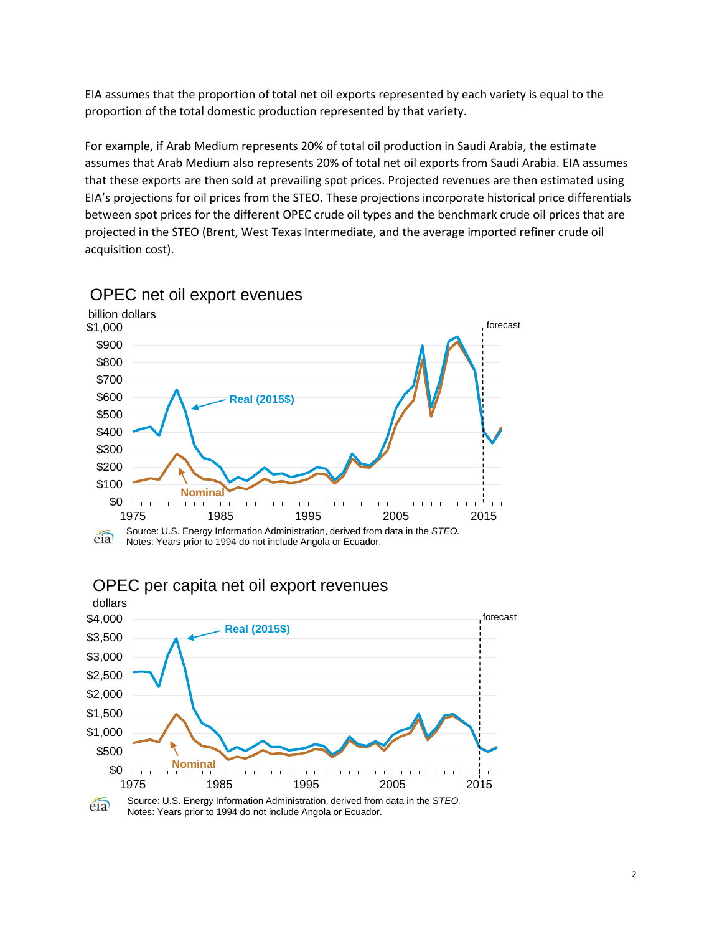EIA assumes that the proportion of total net oil exports represented by each variety is equal to the proportion of the total domestic production represented by that variety.

For example, if Arab Medium represents 20% of total oil production in Saudi Arabia, the estimate assumes that Arab Medium also represents 20% of total net oil exports from Saudi Arabia. EIA assumes that these exports are then sold at prevailing spot prices. Projected revenues are then estimated using EIA's projections for oil prices from the STEO. These projections incorporate historical price differentials between spot prices for the different OPEC crude oil types and the benchmark crude oil prices that are projected in the STEO (Brent, West Texas Intermediate, and the average imported refiner crude oil acquisition cost).



#### OPEC net oil export evenues





Source: U.S. Energy Information Administration, derived from data in the *STEO.*  $e$ ia Notes: Years prior to 1994 do not include Angola or Ecuador.